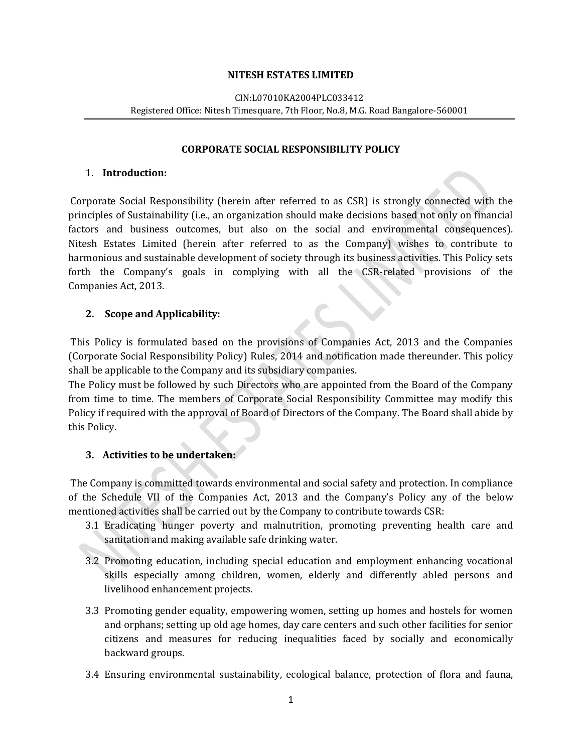#### **NITESH ESTATES LIMITED**

#### CIN:L07010KA2004PLC033412 Registered Office: Nitesh Timesquare, 7th Floor, No.8, M.G. Road Bangalore-560001

#### **CORPORATE SOCIAL RESPONSIBILITY POLICY**

#### 1. **Introduction:**

Corporate Social Responsibility (herein after referred to as CSR) is strongly connected with the principles of Sustainability (i.e., an organization should make decisions based not only on financial factors and business outcomes, but also on the social and environmental consequences). Nitesh Estates Limited (herein after referred to as the Company) wishes to contribute to harmonious and sustainable development of society through its business activities. This Policy sets forth the Company's goals in complying with all the CSR-related provisions of the Companies Act, 2013.

#### **2. Scope and Applicability:**

This Policy is formulated based on the provisions of Companies Act, 2013 and the Companies (Corporate Social Responsibility Policy) Rules, 2014 and notification made thereunder. This policy shall be applicable to the Company and its subsidiary companies.

The Policy must be followed by such Directors who are appointed from the Board of the Company from time to time. The members of Corporate Social Responsibility Committee may modify this Policy if required with the approval of Board of Directors of the Company. The Board shall abide by this Policy.

### **3. Activities to be undertaken:**

The Company is committed towards environmental and social safety and protection. In compliance of the Schedule VII of the Companies Act, 2013 and the Company's Policy any of the below mentioned activities shall be carried out by the Company to contribute towards CSR:

- 3.1 Eradicating hunger poverty and malnutrition, promoting preventing health care and sanitation and making available safe drinking water.
- 3.2 Promoting education, including special education and employment enhancing vocational skills especially among children, women, elderly and differently abled persons and livelihood enhancement projects.
- 3.3 Promoting gender equality, empowering women, setting up homes and hostels for women and orphans; setting up old age homes, day care centers and such other facilities for senior citizens and measures for reducing inequalities faced by socially and economically backward groups.
- 3.4 Ensuring environmental sustainability, ecological balance, protection of flora and fauna,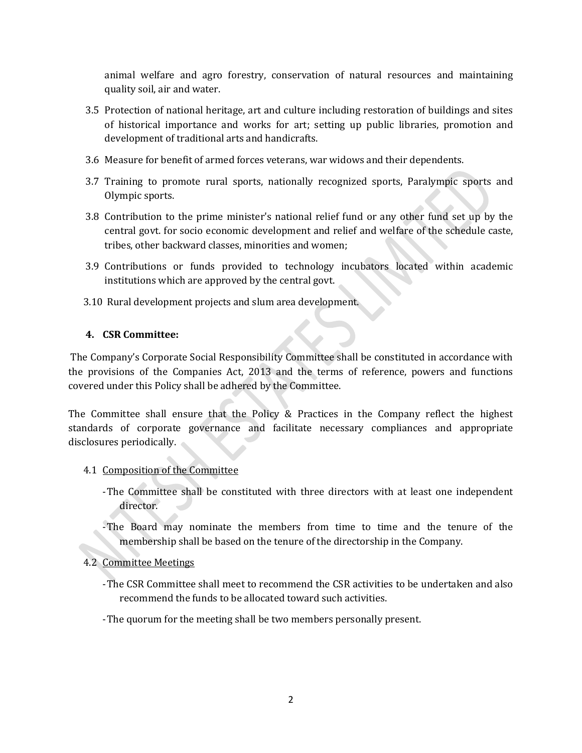animal welfare and agro forestry, conservation of natural resources and maintaining quality soil, air and water.

- 3.5 Protection of national heritage, art and culture including restoration of buildings and sites of historical importance and works for art; setting up public libraries, promotion and development of traditional arts and handicrafts.
- 3.6 Measure for benefit of armed forces veterans, war widows and their dependents.
- 3.7 Training to promote rural sports, nationally recognized sports, Paralympic sports and Olympic sports.
- 3.8 Contribution to the prime minister's national relief fund or any other fund set up by the central govt. for socio economic development and relief and welfare of the schedule caste, tribes, other backward classes, minorities and women;
- 3.9 Contributions or funds provided to technology incubators located within academic institutions which are approved by the central govt.
- 3.10 Rural development projects and slum area development.

## **4. CSR Committee:**

The Company's Corporate Social Responsibility Committee shall be constituted in accordance with the provisions of the Companies Act, 2013 and the terms of reference, powers and functions covered under this Policy shall be adhered by the Committee.

The Committee shall ensure that the Policy & Practices in the Company reflect the highest standards of corporate governance and facilitate necessary compliances and appropriate disclosures periodically.

- 4.1 Composition of the Committee
	- -The Committee shall be constituted with three directors with at least one independent director.
	- -The Board may nominate the members from time to time and the tenure of the membership shall be based on the tenure of the directorship in the Company.
- 4.2 Committee Meetings
	- -The CSR Committee shall meet to recommend the CSR activities to be undertaken and also recommend the funds to be allocated toward such activities.
	- -The quorum for the meeting shall be two members personally present.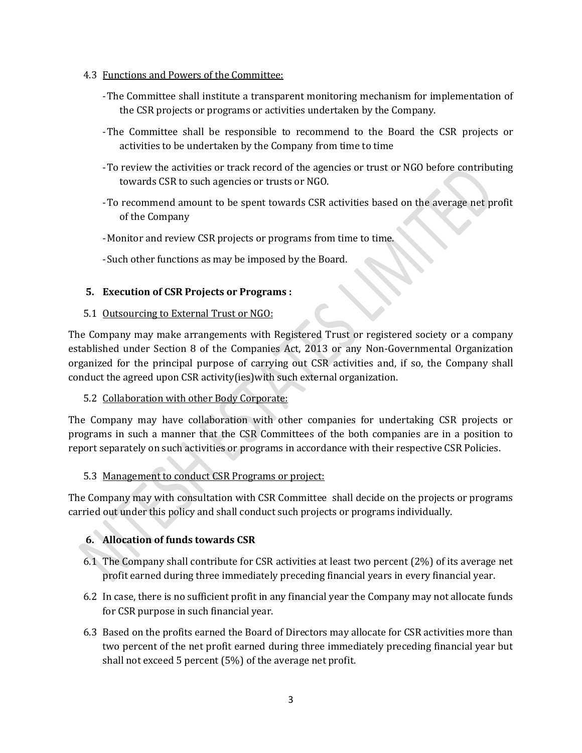- 4.3 Functions and Powers of the Committee:
	- -The Committee shall institute a transparent monitoring mechanism for implementation of the CSR projects or programs or activities undertaken by the Company.
	- -The Committee shall be responsible to recommend to the Board the CSR projects or activities to be undertaken by the Company from time to time
	- -To review the activities or track record of the agencies or trust or NGO before contributing towards CSR to such agencies or trusts or NGO.
	- -To recommend amount to be spent towards CSR activities based on the average net profit of the Company
	- -Monitor and review CSR projects or programs from time to time.
	- -Such other functions as may be imposed by the Board.

### **5. Execution of CSR Projects or Programs :**

### 5.1 Outsourcing to External Trust or NGO:

The Company may make arrangements with Registered Trust or registered society or a company established under Section 8 of the Companies Act, 2013 or any Non-Governmental Organization organized for the principal purpose of carrying out CSR activities and, if so, the Company shall conduct the agreed upon CSR activity(ies)with such external organization.

### 5.2 Collaboration with other Body Corporate:

The Company may have collaboration with other companies for undertaking CSR projects or programs in such a manner that the CSR Committees of the both companies are in a position to report separately on such activities or programs in accordance with their respective CSR Policies.

### 5.3 Management to conduct CSR Programs or project:

The Company may with consultation with CSR Committee shall decide on the projects or programs carried out under this policy and shall conduct such projects or programs individually.

# **6. Allocation of funds towards CSR**

- 6.1 The Company shall contribute for CSR activities at least two percent (2%) of its average net profit earned during three immediately preceding financial years in every financial year.
- 6.2 In case, there is no sufficient profit in any financial year the Company may not allocate funds for CSR purpose in such financial year.
- 6.3 Based on the profits earned the Board of Directors may allocate for CSR activities more than two percent of the net profit earned during three immediately preceding financial year but shall not exceed 5 percent (5%) of the average net profit.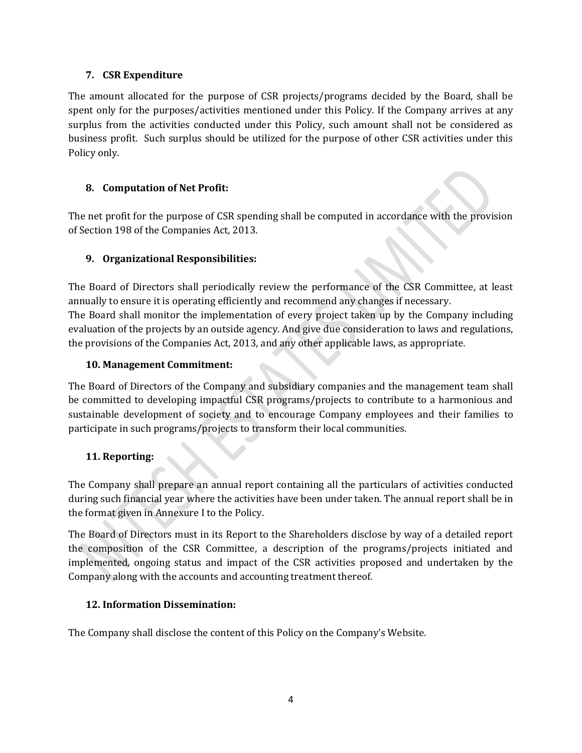## **7. CSR Expenditure**

The amount allocated for the purpose of CSR projects/programs decided by the Board, shall be spent only for the purposes/activities mentioned under this Policy. If the Company arrives at any surplus from the activities conducted under this Policy, such amount shall not be considered as business profit. Such surplus should be utilized for the purpose of other CSR activities under this Policy only.

# **8. Computation of Net Profit:**

The net profit for the purpose of CSR spending shall be computed in accordance with the provision of Section 198 of the Companies Act, 2013.

# **9. Organizational Responsibilities:**

The Board of Directors shall periodically review the performance of the CSR Committee, at least annually to ensure it is operating efficiently and recommend any changes if necessary. The Board shall monitor the implementation of every project taken up by the Company including evaluation of the projects by an outside agency. And give due consideration to laws and regulations, the provisions of the Companies Act, 2013, and any other applicable laws, as appropriate.

## **10. Management Commitment:**

The Board of Directors of the Company and subsidiary companies and the management team shall be committed to developing impactful CSR programs/projects to contribute to a harmonious and sustainable development of society and to encourage Company employees and their families to participate in such programs/projects to transform their local communities.

# **11. Reporting:**

The Company shall prepare an annual report containing all the particulars of activities conducted during such financial year where the activities have been under taken. The annual report shall be in the format given in Annexure I to the Policy.

The Board of Directors must in its Report to the Shareholders disclose by way of a detailed report the composition of the CSR Committee, a description of the programs/projects initiated and implemented, ongoing status and impact of the CSR activities proposed and undertaken by the Company along with the accounts and accounting treatment thereof.

# **12. Information Dissemination:**

The Company shall disclose the content of this Policy on the Company's Website.